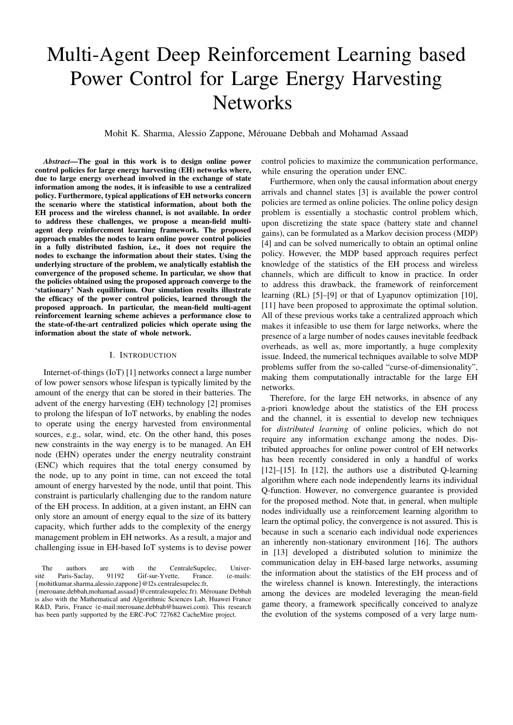# Multi-Agent Deep Reinforcement Learning based Power Control for Large Energy Harvesting **Networks**

Mohit K. Sharma, Alessio Zappone, Merouane Debbah and Mohamad Assaad ´

*Abstract*—The goal in this work is to design online power control policies for large energy harvesting (EH) networks where, due to large energy overhead involved in the exchange of state information among the nodes, it is infeasible to use a centralized policy. Furthermore, typical applications of EH networks concern the scenario where the statistical information, about both the EH process and the wireless channel, is not available. In order to address these challenges, we propose a mean-field multiagent deep reinforcement learning framework. The proposed approach enables the nodes to learn online power control policies in a fully distributed fashion, i.e., it does not require the nodes to exchange the information about their states. Using the underlying structure of the problem, we analytically establish the convergence of the proposed scheme. In particular, we show that the policies obtained using the proposed approach converge to the 'stationary' Nash equilibrium. Our simulation results illustrate the efficacy of the power control policies, learned through the proposed approach. In particular, the mean-field multi-agent reinforcement learning scheme achieves a performance close to the state-of-the-art centralized policies which operate using the information about the state of whole network.

#### I. INTRODUCTION

Internet-of-things (IoT) [1] networks connect a large number of low power sensors whose lifespan is typically limited by the amount of the energy that can be stored in their batteries. The advent of the energy harvesting (EH) technology [2] promises to prolong the lifespan of IoT networks, by enabling the nodes to operate using the energy harvested from environmental sources, e.g., solar, wind, etc. On the other hand, this poses new constraints in the way energy is to be managed. An EH node (EHN) operates under the energy neutrality constraint (ENC) which requires that the total energy consumed by the node, up to any point in time, can not exceed the total amount of energy harvested by the node, until that point. This constraint is particularly challenging due to the random nature of the EH process. In addition, at a given instant, an EHN can only store an amount of energy equal to the size of its battery capacity, which further adds to the complexity of the energy management problem in EH networks. As a result, a major and challenging issue in EH-based IoT systems is to devise power

The authors are with the CentraleSupelec, Univer-<br>té Paris-Saclay 91192 Gif-sur-Yvette France (e-mails: sité Paris-Saclay, 91192 Gif-sur-Yvette, France. (e-mails: {mohitkumar.sharma,alessio.zappone}@l2s.centralesupelec.fr,

{merouane.debbah,mohamad.assaad}@centralesupelec.fr). Merouane Debbah ´ is also with the Mathematical and Algorithmic Sciences Lab, Huawei France R&D, Paris, France (e-mail:merouane.debbah@huawei.com). This research has been partly supported by the ERC-PoC 727682 CacheMire project.

control policies to maximize the communication performance, while ensuring the operation under ENC.

Furthermore, when only the causal information about energy arrivals and channel states [3] is available the power control policies are termed as online policies. The online policy design problem is essentially a stochastic control problem which, upon discretizing the state space (battery state and channel gains), can be formulated as a Markov decision process (MDP) [4] and can be solved numerically to obtain an optimal online policy. However, the MDP based approach requires perfect knowledge of the statistics of the EH process and wireless channels, which are difficult to know in practice. In order to address this drawback, the framework of reinforcement learning (RL) [5]–[9] or that of Lyapunov optimization [10], [11] have been proposed to approximate the optimal solution. All of these previous works take a centralized approach which makes it infeasible to use them for large networks, where the presence of a large number of nodes causes inevitable feedback overheads, as well as, more importantly, a huge complexity issue. Indeed, the numerical techniques available to solve MDP problems suffer from the so-called "curse-of-dimensionality", making them computationally intractable for the large EH networks.

Therefore, for the large EH networks, in absence of any a-priori knowledge about the statistics of the EH process and the channel, it is essential to develop new techniques for *distributed learning* of online policies, which do not require any information exchange among the nodes. Distributed approaches for online power control of EH networks has been recently considered in only a handful of works [12]–[15]. In [12], the authors use a distributed Q-learning algorithm where each node independently learns its individual Q-function. However, no convergence guarantee is provided for the proposed method. Note that, in general, when multiple nodes individually use a reinforcement learning algorithm to learn the optimal policy, the convergence is not assured. This is because in such a scenario each individual node experiences an inherently non-stationary environment [16]. The authors in [13] developed a distributed solution to minimize the communication delay in EH-based large networks, assuming the information about the statistics of the EH process and of the wireless channel is known. Interestingly, the interactions among the devices are modeled leveraging the mean-field game theory, a framework specifically conceived to analyze the evolution of the systems composed of a very large num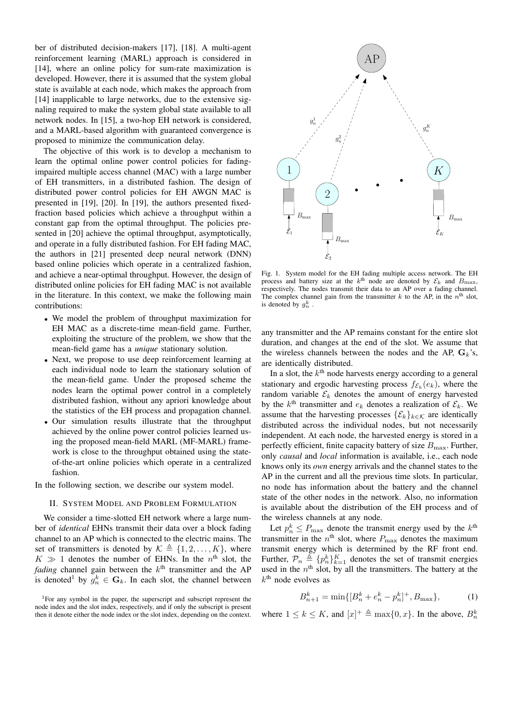ber of distributed decision-makers [17], [18]. A multi-agent reinforcement learning (MARL) approach is considered in [14], where an online policy for sum-rate maximization is developed. However, there it is assumed that the system global state is available at each node, which makes the approach from [14] inapplicable to large networks, due to the extensive signaling required to make the system global state available to all network nodes. In [15], a two-hop EH network is considered, and a MARL-based algorithm with guaranteed convergence is proposed to minimize the communication delay.

The objective of this work is to develop a mechanism to learn the optimal online power control policies for fadingimpaired multiple access channel (MAC) with a large number of EH transmitters, in a distributed fashion. The design of distributed power control policies for EH AWGN MAC is presented in [19], [20]. In [19], the authors presented fixedfraction based policies which achieve a throughput within a constant gap from the optimal throughput. The policies presented in [20] achieve the optimal throughput, asymptotically, and operate in a fully distributed fashion. For EH fading MAC, the authors in [21] presented deep neural network (DNN) based online policies which operate in a centralized fashion, and achieve a near-optimal throughput. However, the design of distributed online policies for EH fading MAC is not available in the literature. In this context, we make the following main contributions:

- We model the problem of throughput maximization for EH MAC as a discrete-time mean-field game. Further, exploiting the structure of the problem, we show that the mean-field game has a *unique* stationary solution.
- Next, we propose to use deep reinforcement learning at each individual node to learn the stationary solution of the mean-field game. Under the proposed scheme the nodes learn the optimal power control in a completely distributed fashion, without any apriori knowledge about the statistics of the EH process and propagation channel.
- Our simulation results illustrate that the throughput achieved by the online power control policies learned using the proposed mean-field MARL (MF-MARL) framework is close to the throughput obtained using the stateof-the-art online policies which operate in a centralized fashion.

In the following section, we describe our system model.

## II. SYSTEM MODEL AND PROBLEM FORMULATION

We consider a time-slotted EH network where a large number of *identical* EHNs transmit their data over a block fading channel to an AP which is connected to the electric mains. The set of transmitters is denoted by  $\mathcal{K} \triangleq \{1, 2, ..., K\}$ , where  $K \gg 1$  denotes the number of EHNs. In the  $n<sup>th</sup>$  slot, the *fading* channel gain between the  $k<sup>th</sup>$  transmitter and the AP is denoted<sup>1</sup> by  $g_n^k \in \mathbf{G}_k$ . In each slot, the channel between



Fig. 1. System model for the EH fading multiple access network. The EH process and battery size at the  $k^{\text{th}}$  node are denoted by  $\mathcal{E}_k$  and  $B_{\text{max}}$ , respectively. The nodes transmit their data to an AP over a fading channel. The complex channel gain from the transmitter  $k$  to the AP, in the  $n<sup>th</sup>$  slot, is denoted by  $g_n^k$ .

any transmitter and the AP remains constant for the entire slot duration, and changes at the end of the slot. We assume that the wireless channels between the nodes and the AP,  $G_k$ 's, are identically distributed.

In a slot, the  $k<sup>th</sup>$  node harvests energy according to a general stationary and ergodic harvesting process  $f_{\mathcal{E}_k}(e_k)$ , where the random variable  $\mathcal{E}_k$  denotes the amount of energy harvested by the  $k^{\text{th}}$  transmitter and  $e_k$  denotes a realization of  $\mathcal{E}_k$ . We assume that the harvesting processes  $\{\mathcal{E}_k\}_{k\in\mathcal{K}}$  are identically distributed across the individual nodes, but not necessarily independent. At each node, the harvested energy is stored in a perfectly efficient, finite capacity battery of size  $B_{\text{max}}$ . Further, only *causal* and *local* information is available, i.e., each node knows only its *own* energy arrivals and the channel states to the AP in the current and all the previous time slots. In particular, no node has information about the battery and the channel state of the other nodes in the network. Also, no information is available about the distribution of the EH process and of the wireless channels at any node.

Let  $p_n^k \leq P_{\text{max}}$  denote the transmit energy used by the  $k^{\text{th}}$ transmitter in the  $n^{\text{th}}$  slot, where  $P_{\text{max}}$  denotes the maximum transmit energy which is determined by the RF front end. Further,  $\mathcal{P}_n \triangleq \{p_n^k\}_{k=1}^K$  denotes the set of transmit energies used in the  $n<sup>th</sup>$  slot, by all the transmitters. The battery at the  $k<sup>th</sup>$  node evolves as

$$
B_{n+1}^k = \min\{[B_n^k + e_n^k - p_n^k]^+, B_{\text{max}}\},\tag{1}
$$

where  $1 \leq k \leq K$ , and  $[x]^+ \triangleq \max\{0, x\}$ . In the above,  $B_n^k$ 

<sup>1</sup>For any symbol in the paper, the superscript and subscript represent the node index and the slot index, respectively, and if only the subscript is present then it denote either the node index or the slot index, depending on the context.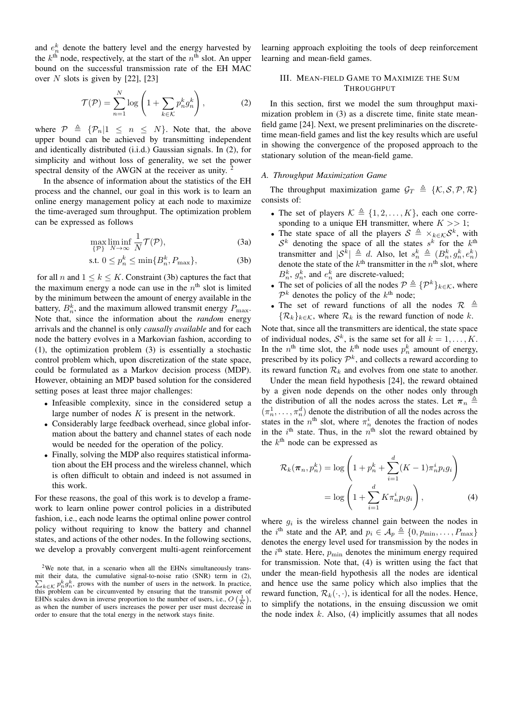and  $e_n^k$  denote the battery level and the energy harvested by the  $k^{\text{th}}$  node, respectively, at the start of the  $n^{\text{th}}$  slot. An upper bound on the successful transmission rate of the EH MAC over N slots is given by  $[22]$ ,  $[23]$ 

$$
\mathcal{T}(\mathcal{P}) = \sum_{n=1}^{N} \log \left( 1 + \sum_{k \in \mathcal{K}} p_n^k g_n^k \right),\tag{2}
$$

where  $\mathcal{P} \triangleq {\mathcal{P}_n | 1 \leq n \leq N}$ . Note that, the above upper bound can be achieved by transmitting independent and identically distributed (i.i.d.) Gaussian signals. In (2), for simplicity and without loss of generality, we set the power spectral density of the AWGN at the receiver as unity.

In the absence of information about the statistics of the EH process and the channel, our goal in this work is to learn an online energy management policy at each node to maximize the time-averaged sum throughput. The optimization problem can be expressed as follows

$$
\max_{\{\mathcal{P}\}} \liminf_{N \to \infty} \frac{1}{N} \mathcal{T}(\mathcal{P}),\tag{3a}
$$

$$
\text{s.t. } 0 \le p_n^k \le \min\{B_n^k, P_{\text{max}}\},\tag{3b}
$$

for all n and  $1 \leq k \leq K$ . Constraint (3b) captures the fact that the maximum energy a node can use in the  $n<sup>th</sup>$  slot is limited by the minimum between the amount of energy available in the battery,  $B_n^k$ , and the maximum allowed transmit energy  $P_{\text{max}}$ . Note that, since the information about the *random* energy arrivals and the channel is only *causally available* and for each node the battery evolves in a Markovian fashion, according to (1), the optimization problem (3) is essentially a stochastic control problem which, upon discretization of the state space, could be formulated as a Markov decision process (MDP). However, obtaining an MDP based solution for the considered setting poses at least three major challenges:

- Infeasible complexity, since in the considered setup a large number of nodes  $K$  is present in the network.
- Considerably large feedback overhead, since global information about the battery and channel states of each node would be needed for the operation of the policy.
- Finally, solving the MDP also requires statistical information about the EH process and the wireless channel, which is often difficult to obtain and indeed is not assumed in this work.

For these reasons, the goal of this work is to develop a framework to learn online power control policies in a distributed fashion, i.e., each node learns the optimal online power control policy without requiring to know the battery and channel states, and actions of the other nodes. In the following sections, we develop a provably convergent multi-agent reinforcement learning approach exploiting the tools of deep reinforcement learning and mean-field games.

## III. MEAN-FIELD GAME TO MAXIMIZE THE SUM THROUGHPUT

In this section, first we model the sum throughput maximization problem in (3) as a discrete time, finite state meanfield game [24]. Next, we present preliminaries on the discretetime mean-field games and list the key results which are useful in showing the convergence of the proposed approach to the stationary solution of the mean-field game.

#### *A. Throughput Maximization Game*

The throughput maximization game  $\mathcal{G}_T \triangleq \{K, \mathcal{S}, \mathcal{P}, \mathcal{R}\}$ consists of:

- The set of players  $\mathcal{K} \triangleq \{1, 2, \ldots, K\}$ , each one corresponding to a unique EH transmitter, where  $K \gg 1$ ;
- The state space of all the players  $S \triangleq \times_{k \in \mathcal{K}} S^k$ , with  $\mathcal{S}^k$  denoting the space of all the states  $s^k$  for the  $k^{\text{th}}$ transmitter and  $|\mathcal{S}^{\bar{k}}| \triangleq d$ . Also, let  $s_n^k \triangleq (B_n^k, g_n^k, e_n^k)$ denote the state of the  $k^{\text{th}}$  transmitter in the  $n^{\text{th}}$  slot, where  $B_n^k$ ,  $g_n^k$ , and  $e_n^k$  are discrete-valued;
- The set of policies of all the nodes  $\mathcal{P} \triangleq \{ \mathcal{P}^k \}_{k \in \mathcal{K}}$ , where  $\mathcal{P}^k$  denotes the policy of the  $k^{\text{th}}$  node;
- The set of reward functions of all the nodes  $\mathcal{R} \triangleq$  $\{\mathcal{R}_k\}_{k\in\mathcal{K}}$ , where  $\mathcal{R}_k$  is the reward function of node k.

Note that, since all the transmitters are identical, the state space of individual nodes,  $S^k$ , is the same set for all  $k = 1, ..., K$ . In the  $n^{\text{th}}$  time slot, the  $k^{\text{th}}$  node uses  $p_n^k$  amount of energy, prescribed by its policy  $\mathcal{P}^k$ , and collects a reward according to its reward function  $\mathcal{R}_k$  and evolves from one state to another.

Under the mean field hypothesis [24], the reward obtained by a given node depends on the other nodes only through the distribution of all the nodes across the states. Let  $\pi_n \triangleq$  $(\pi_n^1, \ldots, \pi_n^d)$  denote the distribution of all the nodes across the states in the  $n^{\text{th}}$  slot, where  $\pi_n^i$  denotes the fraction of nodes in the  $i^{\text{th}}$  state. Thus, in the  $n^{\text{th}}$  slot the reward obtained by the  $k^{\text{th}}$  node can be expressed as

$$
\mathcal{R}_k(\boldsymbol{\pi}_n, p_n^k) = \log \left( 1 + p_n^k + \sum_{i=1}^d (K - 1)\pi_n^i p_i g_i \right)
$$

$$
= \log \left( 1 + \sum_{i=1}^d K \pi_n^i p_i g_i \right), \tag{4}
$$

where  $g_i$  is the wireless channel gain between the nodes in the i<sup>th</sup> state and the AP, and  $p_i \in \mathcal{A}_p \triangleq \{0, p_{\min}, \ldots, p_{\max}\}\$ denotes the energy level used for transmission by the nodes in the  $i<sup>th</sup>$  state. Here,  $p<sub>min</sub>$  denotes the minimum energy required for transmission. Note that, (4) is written using the fact that under the mean-field hypothesis all the nodes are identical and hence use the same policy which also implies that the reward function,  $\mathcal{R}_k(\cdot, \cdot)$ , is identical for all the nodes. Hence, to simplify the notations, in the ensuing discussion we omit the node index  $k$ . Also, (4) implicitly assumes that all nodes

<sup>&</sup>lt;sup>2</sup>We note that, in a scenario when all the EHNs simultaneously transmit their data, the cumulative signal-to-noise ratio (SNR) term in (2),  $\sum_{k \in \mathcal{K}} p_n^k g_n^k$ , grows with the number of users in the network. In practice, this problem can be circumvented by ensuring that the transmit power of EHNs scales down in inverse proportion to the number of users, i.e.,  $O\left(\frac{1}{K}\right)$ , as when the number of users increases the power per user must decrease in order to ensure that the total energy in the network stays finite.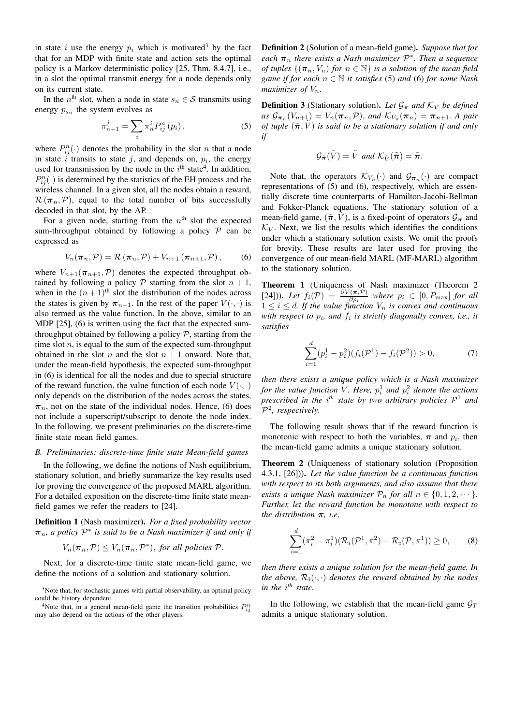in state i use the energy  $p_i$  which is motivated<sup>3</sup> by the fact that for an MDP with finite state and action sets the optimal policy is a Markov deterministic policy [25, Thm. 8.4.7], i.e., in a slot the optimal transmit energy for a node depends only on its current state.

In the  $n^{\text{th}}$  slot, when a node in state  $s_n \in \mathcal{S}$  transmits using energy  $p_{s_n}$  the system evolves as

$$
\pi_{n+1}^j = \sum_i \pi_n^i P_{ij}^n(p_i), \qquad (5)
$$

where  $P_{ij}^n(\cdot)$  denotes the probability in the slot n that a node in state i transits to state j, and depends on,  $p_i$ , the energy used for transmission by the node in the  $i<sup>th</sup>$  state<sup>4</sup>. In addition,  $P_{ij}^n(\cdot)$  is determined by the statistics of the EH process and the wireless channel. In a given slot, all the nodes obtain a reward,  $\mathcal{R}(\pi_n,\mathcal{P})$ , equal to the total number of bits successfully decoded in that slot, by the AP.

For a given node, starting from the  $n<sup>th</sup>$  slot the expected sum-throughput obtained by following a policy  $P$  can be expressed as

$$
V_n(\boldsymbol{\pi}_n, \mathcal{P}) = \mathcal{R}(\boldsymbol{\pi}_n, \mathcal{P}) + V_{n+1}(\boldsymbol{\pi}_{n+1}, \mathcal{P}), \qquad (6)
$$

where  $V_{n+1}(\pi_{n+1}, \mathcal{P})$  denotes the expected throughput obtained by following a policy  $P$  starting from the slot  $n + 1$ , when in the  $(n+1)$ <sup>th</sup> slot the distribution of the nodes across the states is given by  $\pi_{n+1}$ . In the rest of the paper  $V(\cdot, \cdot)$  is also termed as the value function. In the above, similar to an MDP [25], (6) is written using the fact that the expected sumthroughput obtained by following a policy  $P$ , starting from the time slot  $n$ , is equal to the sum of the expected sum-throughput obtained in the slot n and the slot  $n + 1$  onward. Note that, under the mean-field hypothesis, the expected sum-throughput in (6) is identical for all the nodes and due to special structure of the reward function, the value function of each node  $V(\cdot, \cdot)$ only depends on the distribution of the nodes across the states,  $\pi_n$ , not on the state of the individual nodes. Hence, (6) does not include a superscript/subscript to denote the node index. In the following, we present preliminaries on the discrete-time finite state mean field games.

#### *B. Preliminaries: discrete-time finite state Mean-field games*

In the following, we define the notions of Nash equilibrium, stationary solution, and briefly summarize the key results used for proving the convergence of the proposed MARL algorithm. For a detailed exposition on the discrete-time finite state meanfield games we refer the readers to [24].

Definition 1 (Nash maximizer). *For a fixed probability vector*  $π<sub>n</sub>$ *, a policy*  $P<sup>*</sup>$  *is said to be a Nash maximizer if and only if* 

$$
V_n(\pi_n, \mathcal{P}) \le V_n(\pi_n, \mathcal{P}^*),
$$
 for all policies  $\mathcal{P}$ .

Next, for a discrete-time finite state mean-field game, we define the notions of a solution and stationary solution.

<sup>3</sup>Note that, for stochastic games with partial observability, an optimal policy could be history dependent.

<sup>4</sup>Note that, in a general mean-field game the transition probabilities  $P_{ij}^n$ may also depend on the actions of the other players.

Definition 2 (Solution of a mean-field game). *Suppose that for each*  $\pi_n$  *there exists a Nash maximizer*  $\mathcal{P}^*$ *. Then a sequence of tuples*  $\{(\pi_n, V_n)$  *for*  $n \in \mathbb{N}\}$  *is a solution of the mean field game if for each* n ∈ N *it satisfies* (5) *and* (6) *for some Nash maximizer of*  $V_n$ *.* 

**Definition 3** (Stationary solution). Let  $\mathcal{G}_{\pi}$  and  $\mathcal{K}_V$  be defined  $as \mathcal{G}_{\boldsymbol{\pi}_n}(V_{n+1}) = V_n(\boldsymbol{\pi}_n, \mathcal{P}), \text{ and } \mathcal{K}_{V_n}(\boldsymbol{\pi}_n) = \boldsymbol{\pi}_{n+1}.$  A pair *of tuple*  $(\tilde{\pi}, \tilde{V})$  *is said to be a stationary solution if and only if*

$$
\mathcal{G}_{\tilde{\boldsymbol{\pi}}}(\tilde{V}) = \tilde{V} \text{ and } \mathcal{K}_{\tilde{V}}(\tilde{\boldsymbol{\pi}}) = \tilde{\boldsymbol{\pi}}.
$$

Note that, the operators  $\mathcal{K}_{V_n}(\cdot)$  and  $\mathcal{G}_{\pi_n}(\cdot)$  are compact representations of (5) and (6), respectively, which are essentially discrete time counterparts of Hamilton-Jacobi-Bellman and Fokker-Planck equations. The stationary solution of a mean-field game,  $(\tilde{\pi}, \tilde{V})$ , is a fixed-point of operators  $\mathcal{G}_{\pi}$  and  $\mathcal{K}_V$ . Next, we list the results which identifies the conditions under which a stationary solution exists. We omit the proofs for brevity. These results are later used for proving the convergence of our mean-field MARL (MF-MARL) algorithm to the stationary solution.

Theorem 1 (Uniqueness of Nash maximizer (Theorem 2 [24])). Let  $f_i(\mathcal{P}) = \frac{\partial V(\pi, \mathcal{P})}{\partial p_i}$  where  $p_i \in [0, P_{\text{max}}]$  for all  $1 \leq i \leq d$ . If the value function  $V_n$  is convex and continuous with respect to  $p_i$ , and  $f_i$  is strictly diagonally convex, i.e., it *satisfies*

$$
\sum_{i=1}^{d} (p_i^1 - p_i^2)(f_i(\mathcal{P}^1) - f_i(\mathcal{P}^2)) > 0,
$$
\n(7)

*then there exists a unique policy which is a Nash maximizer for the value function V. Here,*  $p_i^1$  and  $p_i^2$  denote the actions *prescribed in the* i *th state by two arbitrary policies* P <sup>1</sup> *and* P 2 *, respectively.*

The following result shows that if the reward function is monotonic with respect to both the variables,  $\pi$  and  $p_i$ , then the mean-field game admits a unique stationary solution.

Theorem 2 (Uniqueness of stationary solution (Proposition 4.3.1, [26])). *Let the value function be a continuous function with respect to its both arguments, and also assume that there exists a unique Nash maximizer*  $\mathcal{P}_n$  *for all*  $n \in \{0, 1, 2, \dots\}$ *. Further, let the reward function be monotone with respect to the distribution* π*, i.e,*

$$
\sum_{i=1}^{d} (\pi_i^2 - \pi_i^1) (\mathcal{R}_i(\mathcal{P}^1, \pi^2) - \mathcal{R}_i(\mathcal{P}, \pi^1)) \ge 0,
$$
 (8)

*then there exists a unique solution for the mean-field game. In the above,*  $\mathcal{R}_i(\cdot, \cdot)$  *denotes the reward obtained by the nodes in the* i *th state.*

In the following, we establish that the mean-field game  $\mathcal{G}_T$ admits a unique stationary solution.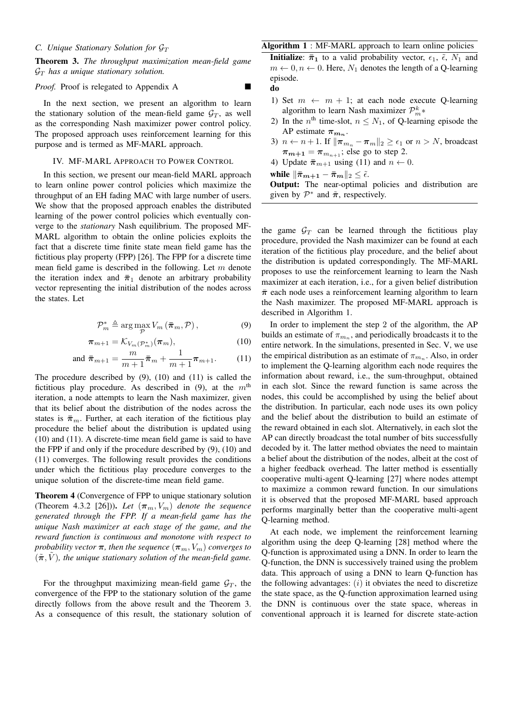### *C. Unique Stationary Solution for*  $\mathcal{G}_T$

# Theorem 3. *The throughput maximization mean-field game*  $\mathcal{G}_T$  has a unique stationary solution.

#### *Proof.* Proof is relegated to Appendix A

In the next section, we present an algorithm to learn the stationary solution of the mean-field game  $\mathcal{G}_T$ , as well as the corresponding Nash maximizer power control policy. The proposed approach uses reinforcement learning for this purpose and is termed as MF-MARL approach.

#### IV. MF-MARL APPROACH TO POWER CONTROL

In this section, we present our mean-field MARL approach to learn online power control policies which maximize the throughput of an EH fading MAC with large number of users. We show that the proposed approach enables the distributed learning of the power control policies which eventually converge to the *stationary* Nash equilibrium. The proposed MF-MARL algorithm to obtain the online policies exploits the fact that a discrete time finite state mean field game has the fictitious play property (FPP) [26]. The FPP for a discrete time mean field game is described in the following. Let  $m$  denote the iteration index and  $\bar{\pi}_1$  denote an arbitrary probability vector representing the initial distribution of the nodes across the states. Let

$$
\mathcal{P}_m^* \triangleq \arg\max_{\mathcal{P}} V_m\left(\boldsymbol{\bar{\pi}}_m, \mathcal{P}\right),\tag{9}
$$

$$
\boldsymbol{\pi}_{m+1} = \mathcal{K}_{V_m(\mathcal{P}_m^*)}(\boldsymbol{\pi}_m), \tag{10}
$$

and 
$$
\bar{\pi}_{m+1} = \frac{m}{m+1} \bar{\pi}_m + \frac{1}{m+1} \pi_{m+1}.
$$
 (11)

The procedure described by (9), (10) and (11) is called the fictitious play procedure. As described in (9), at the  $m<sup>th</sup>$ iteration, a node attempts to learn the Nash maximizer, given that its belief about the distribution of the nodes across the states is  $\bar{\pi}_m$ . Further, at each iteration of the fictitious play procedure the belief about the distribution is updated using (10) and (11). A discrete-time mean field game is said to have the FPP if and only if the procedure described by (9), (10) and (11) converges. The following result provides the conditions under which the fictitious play procedure converges to the unique solution of the discrete-time mean field game.

Theorem 4 (Convergence of FPP to unique stationary solution (Theorem 4.3.2 [26])). Let  $(\pi_m, V_m)$  denote the sequence *generated through the FPP. If a mean-field game has the unique Nash maximizer at each stage of the game, and the reward function is continuous and monotone with respect to probability vector*  $\pi$ *, then the sequence*  $(\pi_m, V_m)$  *converges to*  $(\tilde{\pi}, V)$ , the unique stationary solution of the mean-field game.

For the throughput maximizing mean-field game  $\mathcal{G}_T$ , the convergence of the FPP to the stationary solution of the game directly follows from the above result and the Theorem 3. As a consequence of this result, the stationary solution of

# Algorithm 1 : MF-MARL approach to learn online policies **Initialize:**  $\bar{\pi}_1$  to a valid probability vector,  $\epsilon_1$ ,  $\tilde{\epsilon}$ ,  $N_1$  and  $m \leftarrow 0, n \leftarrow 0$ . Here,  $N_1$  denotes the length of a Q-learning episode.

do

- 1) Set  $m \leftarrow m + 1$ ; at each node execute Q-learning algorithm to learn Nash maximizer  $\mathcal{P}_m^k*$
- 2) In the  $n^{\text{th}}$  time-slot,  $n \leq N_1$ , of Q-learning episode the AP estimate  $\pi_{m_n}$ .
- 3)  $n \leftarrow n+1$ . If  $\|\boldsymbol{\pi}_{m_n} \boldsymbol{\pi}_m\|_2 \geq \epsilon_1$  or  $n > N$ , broadcast  $\pi_{m+1} = \pi_{m_{n+1}}$ ; else go to step 2.
- 4) Update  $\bar{\pi}_{m+1}$  using (11) and  $n \leftarrow 0$ .

while  $\|\bar{\pi}_{m+1} - \bar{\pi}_m\|_2 \leq \tilde{\epsilon}.$ 

Output: The near-optimal policies and distribution are given by  $\mathcal{P}^*$  and  $\tilde{\pi}$ , respectively.

the game  $\mathcal{G}_T$  can be learned through the fictitious play procedure, provided the Nash maximizer can be found at each iteration of the fictitious play procedure, and the belief about the distribution is updated correspondingly. The MF-MARL proposes to use the reinforcement learning to learn the Nash maximizer at each iteration, i.e., for a given belief distribution  $\bar{\pi}$  each node uses a reinforcement learning algorithm to learn the Nash maximizer. The proposed MF-MARL approach is described in Algorithm 1.

In order to implement the step 2 of the algorithm, the AP builds an estimate of  $\pi_{m_n}$ , and periodically broadcasts it to the entire network. In the simulations, presented in Sec. V, we use the empirical distribution as an estimate of  $\pi_{m_n}$ . Also, in order to implement the Q-learning algorithm each node requires the information about reward, i.e., the sum-throughput, obtained in each slot. Since the reward function is same across the nodes, this could be accomplished by using the belief about the distribution. In particular, each node uses its own policy and the belief about the distribution to build an estimate of the reward obtained in each slot. Alternatively, in each slot the AP can directly broadcast the total number of bits successfully decoded by it. The latter method obviates the need to maintain a belief about the distribution of the nodes, albeit at the cost of a higher feedback overhead. The latter method is essentially cooperative multi-agent Q-learning [27] where nodes attempt to maximize a common reward function. In our simulations it is observed that the proposed MF-MARL based approach performs marginally better than the cooperative multi-agent Q-learning method.

At each node, we implement the reinforcement learning algorithm using the deep Q-learning [28] method where the Q-function is approximated using a DNN. In order to learn the Q-function, the DNN is successively trained using the problem data. This approach of using a DNN to learn Q-function has the following advantages:  $(i)$  it obviates the need to discretize the state space, as the Q-function approximation learned using the DNN is continuous over the state space, whereas in conventional approach it is learned for discrete state-action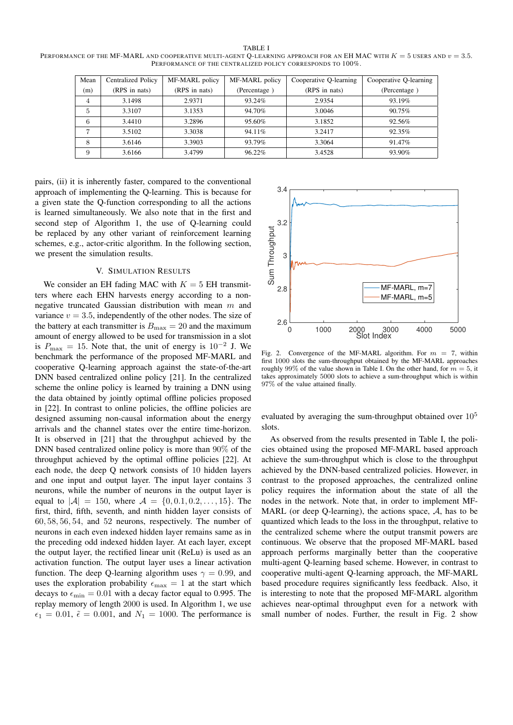TABLE I PERFORMANCE OF THE MF-MARL AND COOPERATIVE MULTI-AGENT Q-LEARNING APPROACH FOR AN EH MAC WITH  $K = 5$  USERS AND  $v = 3.5$ . PERFORMANCE OF THE CENTRALIZED POLICY CORRESPONDS TO 100%.

| Mean | <b>Centralized Policy</b> | MF-MARL policy | MF-MARL policy | Cooperative Q-learning | Cooperative Q-learning |
|------|---------------------------|----------------|----------------|------------------------|------------------------|
| (m)  | (RPS in nats)             | (RPS in nats)  | (Percentage)   | (RPS in nats)          | (Percentage)           |
| 4    | 3.1498                    | 2.9371         | 93.24%         | 2.9354                 | 93.19%                 |
| 5    | 3.3107                    | 3.1353         | 94.70%         | 3.0046                 | $90.75\%$              |
| 6    | 3.4410                    | 3.2896         | 95.60%         | 3.1852                 | 92.56%                 |
| ⇁    | 3.5102                    | 3.3038         | 94.11%         | 3.2417                 | 92.35%                 |
| 8    | 3.6146                    | 3.3903         | 93.79%         | 3.3064                 | 91.47%                 |
| 9    | 3.6166                    | 3.4799         | 96.22%         | 3.4528                 | 93.90%                 |

pairs, (ii) it is inherently faster, compared to the conventional approach of implementing the Q-learning. This is because for a given state the Q-function corresponding to all the actions is learned simultaneously. We also note that in the first and second step of Algorithm 1, the use of Q-learning could be replaced by any other variant of reinforcement learning schemes, e.g., actor-critic algorithm. In the following section, we present the simulation results.

#### V. SIMULATION RESULTS

We consider an EH fading MAC with  $K = 5$  EH transmitters where each EHN harvests energy according to a nonnegative truncated Gaussian distribution with mean m and variance  $v = 3.5$ , independently of the other nodes. The size of the battery at each transmitter is  $B_{\text{max}} = 20$  and the maximum amount of energy allowed to be used for transmission in a slot is  $P_{\text{max}} = 15$ . Note that, the unit of energy is  $10^{-2}$  J. We benchmark the performance of the proposed MF-MARL and cooperative Q-learning approach against the state-of-the-art DNN based centralized online policy [21]. In the centralized scheme the online policy is learned by training a DNN using the data obtained by jointly optimal offline policies proposed in [22]. In contrast to online policies, the offline policies are designed assuming non-causal information about the energy arrivals and the channel states over the entire time-horizon. It is observed in [21] that the throughput achieved by the DNN based centralized online policy is more than 90% of the throughput achieved by the optimal offline policies [22]. At each node, the deep Q network consists of 10 hidden layers and one input and output layer. The input layer contains 3 neurons, while the number of neurons in the output layer is equal to  $|A| = 150$ , where  $A = \{0, 0.1, 0.2, ..., 15\}$ . The first, third, fifth, seventh, and ninth hidden layer consists of 60, 58, 56, 54, and 52 neurons, respectively. The number of neurons in each even indexed hidden layer remains same as in the preceding odd indexed hidden layer. At each layer, except the output layer, the rectified linear unit (ReLu) is used as an activation function. The output layer uses a linear activation function. The deep Q-learning algorithm uses  $\gamma = 0.99$ , and uses the exploration probability  $\epsilon_{\text{max}} = 1$  at the start which decays to  $\epsilon_{\text{min}} = 0.01$  with a decay factor equal to 0.995. The replay memory of length 2000 is used. In Algorithm 1, we use  $\epsilon_1 = 0.01$ ,  $\tilde{\epsilon} = 0.001$ , and  $N_1 = 1000$ . The performance is



Fig. 2. Convergence of the MF-MARL algorithm. For  $m = 7$ , within first 1000 slots the sum-throughput obtained by the MF-MARL approaches roughly 99% of the value shown in Table I. On the other hand, for  $m = 5$ , it takes approximately 5000 slots to achieve a sum-throughput which is within 97% of the value attained finally.

evaluated by averaging the sum-throughput obtained over  $10<sup>5</sup>$ slots.

As observed from the results presented in Table I, the policies obtained using the proposed MF-MARL based approach achieve the sum-throughput which is close to the throughput achieved by the DNN-based centralized policies. However, in contrast to the proposed approaches, the centralized online policy requires the information about the state of all the nodes in the network. Note that, in order to implement MF-MARL (or deep Q-learning), the actions space,  $A$ , has to be quantized which leads to the loss in the throughput, relative to the centralized scheme where the output transmit powers are continuous. We observe that the proposed MF-MARL based approach performs marginally better than the cooperative multi-agent Q-learning based scheme. However, in contrast to cooperative multi-agent Q-learning approach, the MF-MARL based procedure requires significantly less feedback. Also, it is interesting to note that the proposed MF-MARL algorithm achieves near-optimal throughput even for a network with small number of nodes. Further, the result in Fig. 2 show